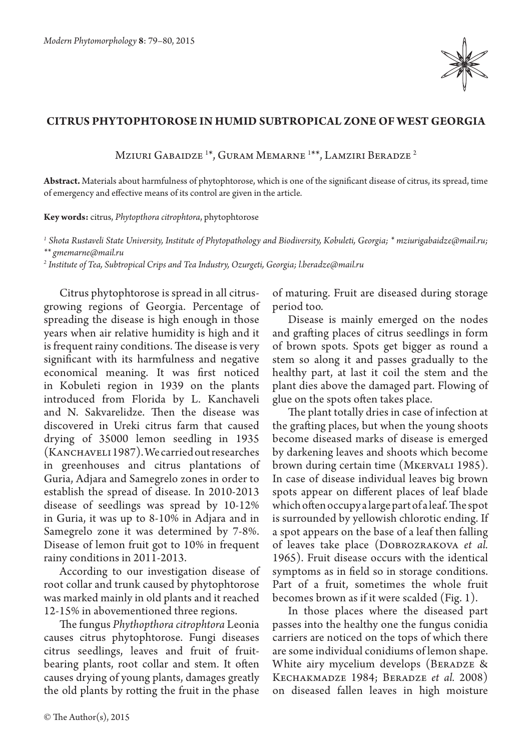

## **Citrus phytophtorose in humid subtropical zone of West Georgia**

Mziuri Gabaidze <sup>1\*</sup>, Guram Memarne <sup>1\*\*</sup>, Lamziri Beradze <sup>2</sup>

**Abstract.** Materials about harmfulness of phytophtorose, which is one of the significant disease of citrus, its spread, time of emergency and effective means of its control are given in the article.

**Key words:** citrus, *Phytopthora citrophtora*, phytophtorose

*1 Shota Rustaveli State University, Institute of Phytopathology and Biodiversity, Kobuleti, Georgia; \* mziurigabaidze@mail.ru; \*\* gmemarne@mail.ru*

*2 Institute of Tea, Subtropical Crips and Tea Industry, Ozurgeti, Georgia; l.beradze@mail.ru*

Citrus phytophtorose is spread in all citrusgrowing regions of Georgia. Percentage of spreading the disease is high enough in those years when air relative humidity is high and it is frequent rainy conditions. The disease is very significant with its harmfulness and negative economical meaning. It was first noticed in Kobuleti region in 1939 on the plants introduced from Florida by L. Kanchaveli and N. Sakvarelidze. Then the disease was discovered in Ureki citrus farm that caused drying of 35000 lemon seedling in 1935 (KANCHAVELI 1987). We carried out researches in greenhouses and citrus plantations of Guria, Adjara and Samegrelo zones in order to establish the spread of disease. In 2010-2013 disease of seedlings was spread by 10-12% in Guria, it was up to 8-10% in Adjara and in Samegrelo zone it was determined by 7-8%. Disease of lemon fruit got to 10% in frequent rainy conditions in 2011-2013.

According to our investigation disease of root collar and trunk caused by phytophtorose was marked mainly in old plants and it reached 12-15% in abovementioned three regions.

The fungus *Phythopthora citrophtora* Leonia causes citrus phytophtorose. Fungi diseases citrus seedlings, leaves and fruit of fruitbearing plants, root collar and stem. It often causes drying of young plants, damages greatly the old plants by rotting the fruit in the phase of maturing. Fruit are diseased during storage period too.

Disease is mainly emerged on the nodes and grafting places of citrus seedlings in form of brown spots. Spots get bigger as round a stem so along it and passes gradually to the healthy part, at last it coil the stem and the plant dies above the damaged part. Flowing of glue on the spots often takes place.

The plant totally dries in case of infection at the grafting places, but when the young shoots become diseased marks of disease is emerged by darkening leaves and shoots which become brown during certain time (Mkervali 1985). In case of disease individual leaves big brown spots appear on different places of leaf blade which often occupy a large part of a leaf. The spot is surrounded by yellowish chlorotic ending. If a spot appears on the base of a leaf then falling of leaves take place (Dobrozrakova *et al.*  1965). Fruit disease occurs with the identical symptoms as in field so in storage conditions. Part of a fruit, sometimes the whole fruit becomes brown as if it were scalded (Fig. 1).

In those places where the diseased part passes into the healthy one the fungus conidia carriers are noticed on the tops of which there are some individual conidiums of lemon shape. White airy mycelium develops (BERADZE & Kechakmadze 1984; Beradze *et al.* 2008) on diseased fallen leaves in high moisture